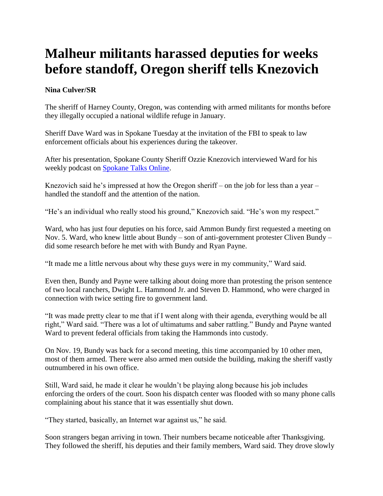## **Malheur militants harassed deputies for weeks before standoff, Oregon sheriff tells Knezovich**

## **Nina Culver/SR**

The sheriff of Harney County, Oregon, was contending with armed militants for months before they illegally occupied a national wildlife refuge in January.

Sheriff Dave Ward was in Spokane Tuesday at the invitation of the FBI to speak to law enforcement officials about his experiences during the takeover.

After his presentation, Spokane County Sheriff Ozzie Knezovich interviewed Ward for his weekly podcast on [Spokane Talks Online.](http://www.spokanetalksonline.com/category/podcasts/sheriffs-report/)

Knezovich said he's impressed at how the Oregon sheriff – on the job for less than a year – handled the standoff and the attention of the nation.

"He's an individual who really stood his ground," Knezovich said. "He's won my respect."

Ward, who has just four deputies on his force, said Ammon Bundy first requested a meeting on Nov. 5. Ward, who knew little about Bundy – son of anti-government protester Cliven Bundy – did some research before he met with with Bundy and Ryan Payne.

"It made me a little nervous about why these guys were in my community," Ward said.

Even then, Bundy and Payne were talking about doing more than protesting the prison sentence of two local ranchers, Dwight L. Hammond Jr. and Steven D. Hammond, who were charged in connection with twice setting fire to government land.

"It was made pretty clear to me that if I went along with their agenda, everything would be all right," Ward said. "There was a lot of ultimatums and saber rattling." Bundy and Payne wanted Ward to prevent federal officials from taking the Hammonds into custody.

On Nov. 19, Bundy was back for a second meeting, this time accompanied by 10 other men, most of them armed. There were also armed men outside the building, making the sheriff vastly outnumbered in his own office.

Still, Ward said, he made it clear he wouldn't be playing along because his job includes enforcing the orders of the court. Soon his dispatch center was flooded with so many phone calls complaining about his stance that it was essentially shut down.

"They started, basically, an Internet war against us," he said.

Soon strangers began arriving in town. Their numbers became noticeable after Thanksgiving. They followed the sheriff, his deputies and their family members, Ward said. They drove slowly